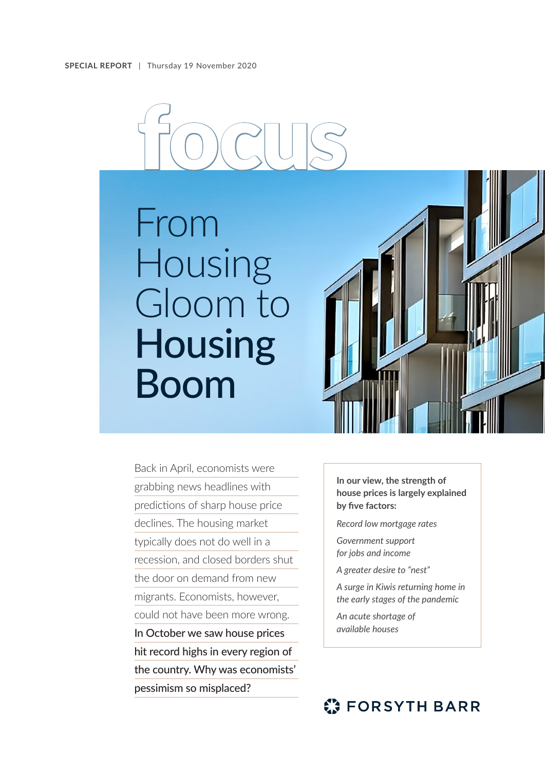# focus

From Housing Gloom to **Housing** Boom



Back in April, economists were grabbing news headlines with predictions of sharp house price declines. The housing market typically does not do well in a recession, and closed borders shut the door on demand from new migrants. Economists, however, could not have been more wrong. In October we saw house prices hit record highs in every region of the country. Why was economists' pessimism so misplaced?

**In our view, the strength of house prices is largely explained by five factors:**

*Record low mortgage rates*

*Government support for jobs and income*

*A greater desire to "nest"*

*A surge in Kiwis returning home in the early stages of the pandemic* 

*An acute shortage of available houses* 

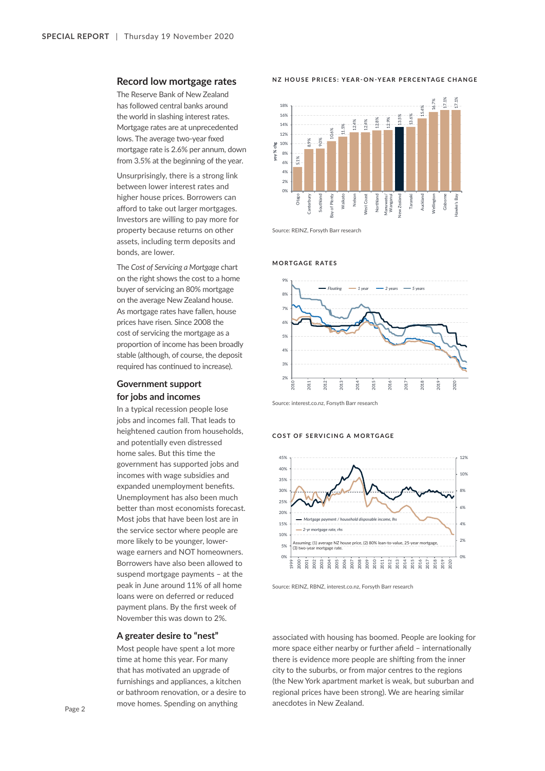## **Record low mortgage rates**

The Reserve Bank of New Zealand has followed central banks around the world in slashing interest rates. Mortgage rates are at unprecedented lows. The average two-year fixed mortgage rate is 2.6% per annum, down from 3.5% at the beginning of the year.

Unsurprisingly, there is a strong link between lower interest rates and higher house prices. Borrowers can afford to take out larger mortgages. Investors are willing to pay more for property because returns on other assets, including term deposits and bonds, are lower.

The *Cost of Servicing a Mortgage* chart on the right shows the cost to a home buyer of servicing an 80% mortgage on the average New Zealand house. As mortgage rates have fallen, house prices have risen. Since 2008 the cost of servicing the mortgage as a proportion of income has been broadly stable (although, of course, the deposit required has continued to increase).

# **Government support for jobs and incomes**

In a typical recession people lose jobs and incomes fall. That leads to heightened caution from households, and potentially even distressed home sales. But this time the government has supported jobs and incomes with wage subsidies and expanded unemployment benefits. Unemployment has also been much better than most economists forecast. Most jobs that have been lost are in the service sector where people are more likely to be younger, lowerwage earners and NOT homeowners. Borrowers have also been allowed to suspend mortgage payments – at the peak in June around 11% of all home loans were on deferred or reduced payment plans. By the first week of November this was down to 2%.

## **A greater desire to "nest"**

Most people have spent a lot more time at home this year. For many that has motivated an upgrade of furnishings and appliances, a kitchen or bathroom renovation, or a desire to move homes. Spending on anything

#### **NZ HOUSE PRICES: YEAR-ON-YEAR PERCENTAGE CHANGE**



Source: REINZ, Forsyth Barr research





Source: interest.co.nz, Forsyth Barr research

#### **COST OF SERVICING A MORTGAGE**



Source: REINZ, RBNZ, interest.co.nz, Forsyth Barr research

associated with housing has boomed. People are looking for more space either nearby or further afield – internationally there is evidence more people are shifting from the inner city to the suburbs, or from major centres to the regions (the New York apartment market is weak, but suburban and regional prices have been strong). We are hearing similar anecdotes in New Zealand.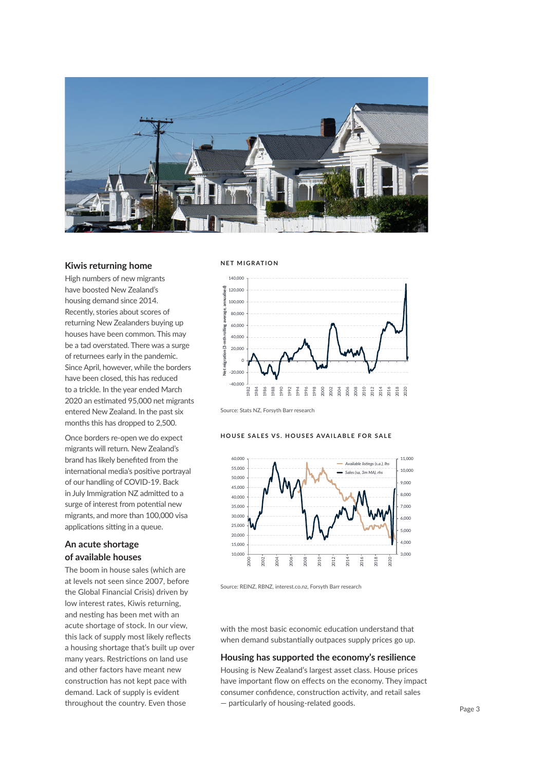

# **Kiwis returning home**

High numbers of new migrants have boosted New Zealand's housing demand since 2014. Recently, stories about scores of returning New Zealanders buying up houses have been common. This may be a tad overstated. There was a surge of returnees early in the pandemic. Since April, however, while the borders have been closed, this has reduced to a trickle. In the year ended March 2020 an estimated 95,000 net migrants entered New Zealand. In the past six months this has dropped to 2,500.

Once borders re-open we do expect migrants will return. New Zealand's brand has likely benefited from the international media's positive portrayal of our handling of COVID-19. Back in July Immigration NZ admitted to a surge of interest from potential new migrants, and more than 100,000 visa applications sitting in a queue.

# **An acute shortage of available houses**

The boom in house sales (which are at levels not seen since 2007, before the Global Financial Crisis) driven by low interest rates, Kiwis returning, and nesting has been met with an acute shortage of stock. In our view, this lack of supply most likely reflects a housing shortage that's built up over many years. Restrictions on land use and other factors have meant new construction has not kept pace with demand. Lack of supply is evident throughout the country. Even those

### **NET MIGRATION**



Source: Stats NZ, Forsyth Barr research

#### **HOUSE SALES VS. HOUSES AVAILABLE FOR SALE**



Source: REINZ, RBNZ, interest.co.nz, Forsyth Barr research

with the most basic economic education understand that when demand substantially outpaces supply prices go up.

## **Housing has supported the economy's resilience**

Housing is New Zealand's largest asset class. House prices have important flow on effects on the economy. They impact consumer confidence, construction activity, and retail sales — particularly of housing-related goods.